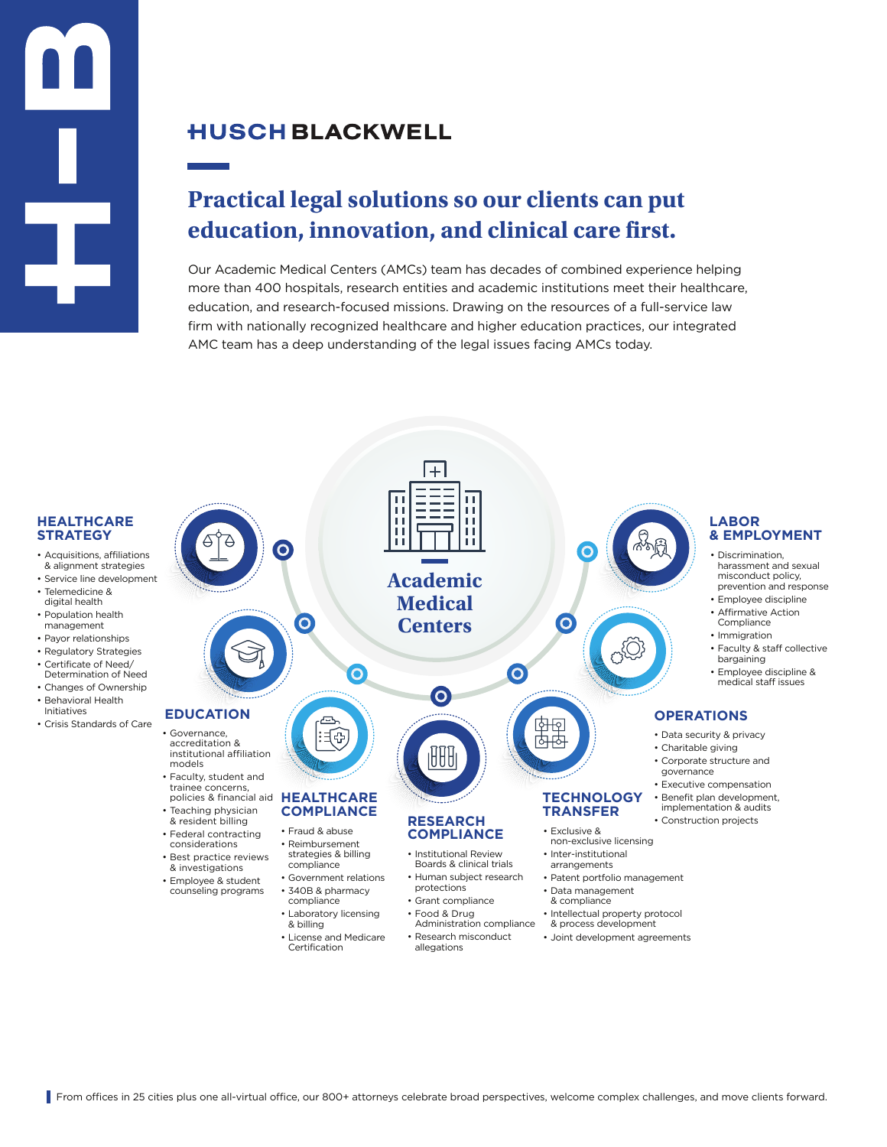## **HUSCH BLACKWELL**

# **Practical legal solutions so our clients can put education, innovation, and clinical care first.**

Our Academic Medical Centers (AMCs) team has decades of combined experience helping more than 400 hospitals, research entities and academic institutions meet their healthcare, education, and research-focused missions. Drawing on the resources of a full-service law firm with nationally recognized healthcare and higher education practices, our integrated AMC team has a deep understanding of the legal issues facing AMCs today.